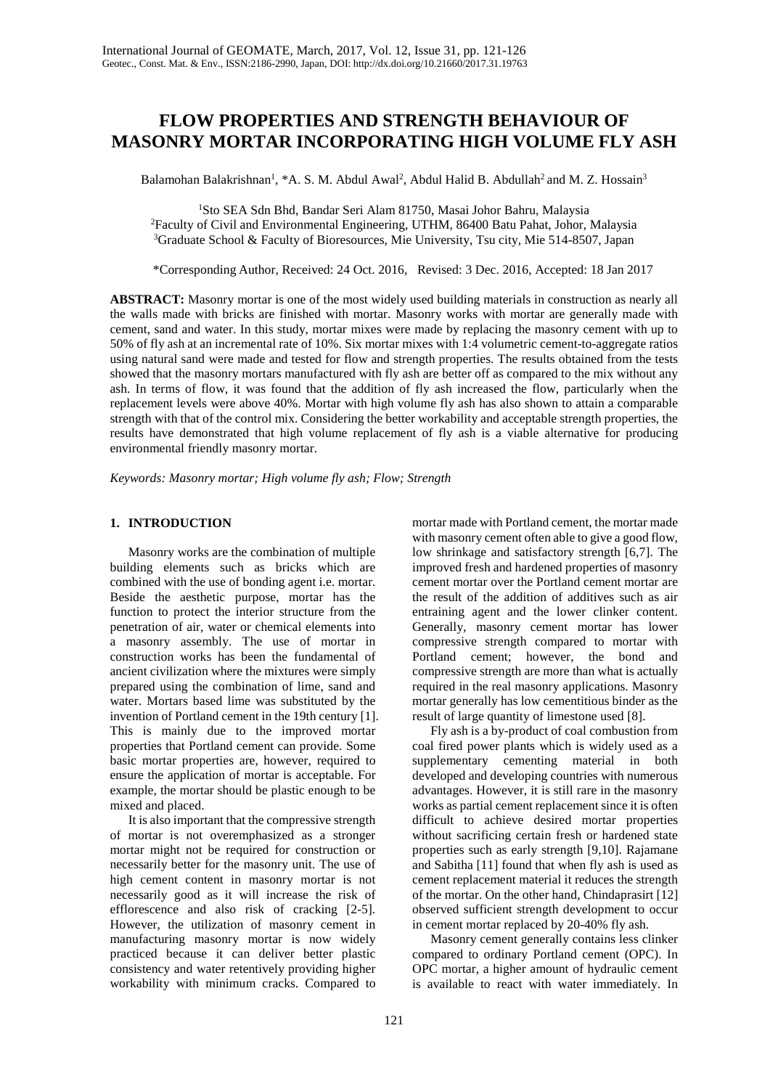# **FLOW PROPERTIES AND STRENGTH BEHAVIOUR OF MASONRY MORTAR INCORPORATING HIGH VOLUME FLY ASH**

Balamohan Balakrishnan<sup>1</sup>, \*A. S. M. Abdul Awal<sup>2</sup>, Abdul Halid B. Abdullah<sup>2</sup> and M. Z. Hossain<sup>3</sup>

1 Sto SEA Sdn Bhd, Bandar Seri Alam 81750, Masai Johor Bahru, Malaysia 2 Faculty of Civil and Environmental Engineering, UTHM, 86400 Batu Pahat, Johor, Malaysia

3 Graduate School & Faculty of Bioresources, Mie University, Tsu city, Mie 514-8507, Japan

\*Corresponding Author, Received: 24 Oct. 2016, Revised: 3 Dec. 2016, Accepted: 18 Jan 2017

**ABSTRACT:** Masonry mortar is one of the most widely used building materials in construction as nearly all the walls made with bricks are finished with mortar. Masonry works with mortar are generally made with cement, sand and water. In this study, mortar mixes were made by replacing the masonry cement with up to 50% of fly ash at an incremental rate of 10%. Six mortar mixes with 1:4 volumetric cement-to-aggregate ratios using natural sand were made and tested for flow and strength properties. The results obtained from the tests showed that the masonry mortars manufactured with fly ash are better off as compared to the mix without any ash. In terms of flow, it was found that the addition of fly ash increased the flow, particularly when the replacement levels were above 40%. Mortar with high volume fly ash has also shown to attain a comparable strength with that of the control mix. Considering the better workability and acceptable strength properties, the results have demonstrated that high volume replacement of fly ash is a viable alternative for producing environmental friendly masonry mortar.

*Keywords: Masonry mortar; High volume fly ash; Flow; Strength*

# **1. INTRODUCTION**

Masonry works are the combination of multiple building elements such as bricks which are combined with the use of bonding agent i.e. mortar. Beside the aesthetic purpose, mortar has the function to protect the interior structure from the penetration of air, water or chemical elements into a masonry assembly. The use of mortar in construction works has been the fundamental of ancient civilization where the mixtures were simply prepared using the combination of lime, sand and water. Mortars based lime was substituted by the invention of Portland cement in the 19th century [1]. This is mainly due to the improved mortar properties that Portland cement can provide. Some basic mortar properties are, however, required to ensure the application of mortar is acceptable. For example, the mortar should be plastic enough to be mixed and placed.

It is also important that the compressive strength of mortar is not overemphasized as a stronger mortar might not be required for construction or necessarily better for the masonry unit. The use of high cement content in masonry mortar is not necessarily good as it will increase the risk of efflorescence and also risk of cracking [2-5]. However, the utilization of masonry cement in manufacturing masonry mortar is now widely practiced because it can deliver better plastic consistency and water retentively providing higher workability with minimum cracks. Compared to

mortar made with Portland cement, the mortar made with masonry cement often able to give a good flow, low shrinkage and satisfactory strength [6,7]. The improved fresh and hardened properties of masonry cement mortar over the Portland cement mortar are the result of the addition of additives such as air entraining agent and the lower clinker content. Generally, masonry cement mortar has lower compressive strength compared to mortar with Portland cement; however, the bond and compressive strength are more than what is actually required in the real masonry applications. Masonry mortar generally has low cementitious binder as the result of large quantity of limestone used [8].

Fly ash is a by-product of coal combustion from coal fired power plants which is widely used as a supplementary cementing material in both developed and developing countries with numerous advantages. However, it is still rare in the masonry works as partial cement replacement since it is often difficult to achieve desired mortar properties without sacrificing certain fresh or hardened state properties such as early strength [9,10]. Rajamane and Sabitha [11] found that when fly ash is used as cement replacement material it reduces the strength of the mortar. On the other hand, Chindaprasirt [12] observed sufficient strength development to occur in cement mortar replaced by 20-40% fly ash.

Masonry cement generally contains less clinker compared to ordinary Portland cement (OPC). In OPC mortar, a higher amount of hydraulic cement is available to react with water immediately. In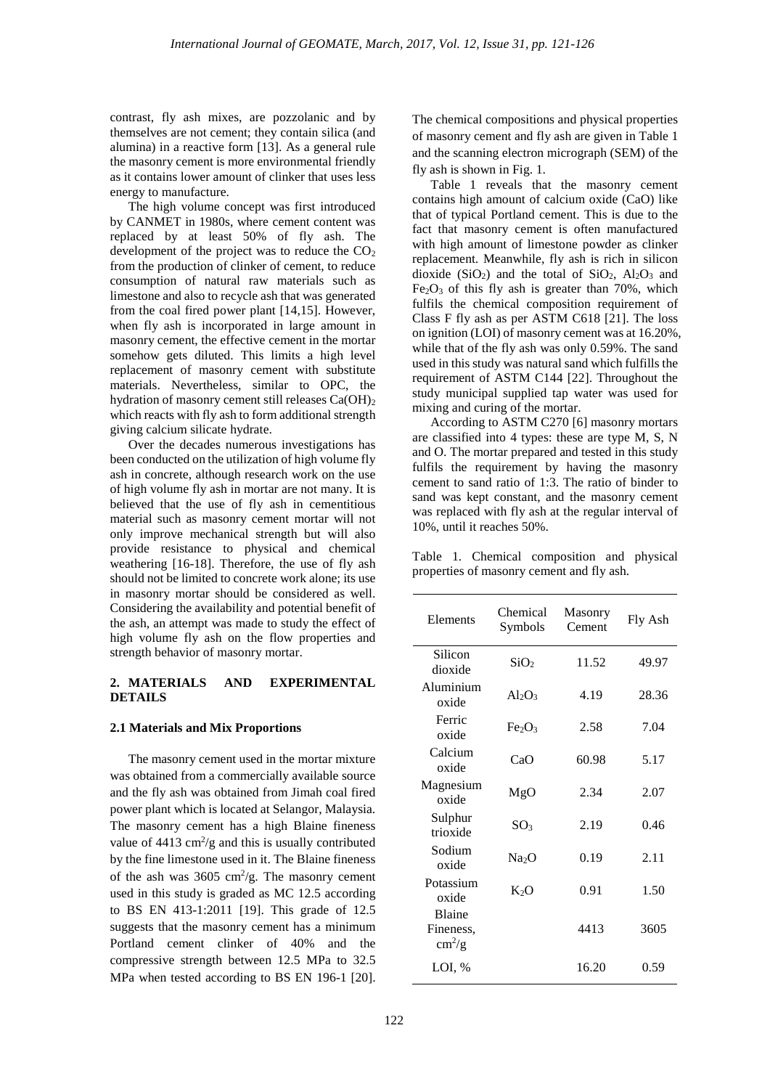contrast, fly ash mixes, are pozzolanic and by themselves are not cement; they contain silica (and alumina) in a reactive form [13]. As a general rule the masonry cement is more environmental friendly as it contains lower amount of clinker that uses less energy to manufacture.

The high volume concept was first introduced by CANMET in 1980s, where cement content was replaced by at least 50% of fly ash. The development of the project was to reduce the  $CO<sub>2</sub>$ from the production of clinker of cement, to reduce consumption of natural raw materials such as limestone and also to recycle ash that was generated from the coal fired power plant [14,15]. However, when fly ash is incorporated in large amount in masonry cement, the effective cement in the mortar somehow gets diluted. This limits a high level replacement of masonry cement with substitute materials. Nevertheless, similar to OPC, the hydration of masonry cement still releases Ca(OH)2 which reacts with fly ash to form additional strength giving calcium silicate hydrate.

Over the decades numerous investigations has been conducted on the utilization of high volume fly ash in concrete, although research work on the use of high volume fly ash in mortar are not many. It is believed that the use of fly ash in cementitious material such as masonry cement mortar will not only improve mechanical strength but will also provide resistance to physical and chemical weathering [16-18]. Therefore, the use of fly ash should not be limited to concrete work alone; its use in masonry mortar should be considered as well. Considering the availability and potential benefit of the ash, an attempt was made to study the effect of high volume fly ash on the flow properties and strength behavior of masonry mortar.

#### **2. MATERIALS AND EXPERIMENTAL DETAILS**

### **2.1 Materials and Mix Proportions**

The masonry cement used in the mortar mixture was obtained from a commercially available source and the fly ash was obtained from Jimah coal fired power plant which is located at Selangor, Malaysia. The masonry cement has a high Blaine fineness value of  $4413 \text{ cm}^2/\text{g}$  and this is usually contributed by the fine limestone used in it. The Blaine fineness of the ash was  $3605 \text{ cm}^2/\text{g}$ . The masonry cement used in this study is graded as MC 12.5 according to BS EN 413-1:2011 [19]. This grade of 12.5 suggests that the masonry cement has a minimum Portland cement clinker of 40% and the compressive strength between 12.5 MPa to 32.5 MPa when tested according to BS EN 196-1 [20].

The chemical compositions and physical properties of masonry cement and fly ash are given in Table 1 and the scanning electron micrograph (SEM) of the fly ash is shown in Fig. 1.

Table 1 reveals that the masonry cement contains high amount of calcium oxide (CaO) like that of typical Portland cement. This is due to the fact that masonry cement is often manufactured with high amount of limestone powder as clinker replacement. Meanwhile, fly ash is rich in silicon dioxide  $(SiO<sub>2</sub>)$  and the total of  $SiO<sub>2</sub>$ ,  $Al<sub>2</sub>O<sub>3</sub>$  and  $Fe<sub>2</sub>O<sub>3</sub>$  of this fly ash is greater than 70%, which fulfils the chemical composition requirement of Class F fly ash as per ASTM C618 [21]. The loss on ignition (LOI) of masonry cement was at 16.20%, while that of the fly ash was only 0.59%. The sand used in this study was natural sand which fulfills the requirement of ASTM C144 [22]. Throughout the study municipal supplied tap water was used for mixing and curing of the mortar.

According to ASTM C270 [6] masonry mortars are classified into 4 types: these are type M, S, N and O. The mortar prepared and tested in this study fulfils the requirement by having the masonry cement to sand ratio of 1:3. The ratio of binder to sand was kept constant, and the masonry cement was replaced with fly ash at the regular interval of 10%, until it reaches 50%.

Table 1. Chemical composition and physical properties of masonry cement and fly ash.

| Elements                                             | Chemical<br>Symbols            | Masonry<br>Cement | Fly Ash |
|------------------------------------------------------|--------------------------------|-------------------|---------|
| Silicon<br>dioxide                                   | SiO <sub>2</sub>               | 11.52             | 49.97   |
| Aluminium<br>oxide                                   | $Al_2O_3$                      | 4.19              | 28.36   |
| Ferric<br>oxide                                      | Fe <sub>2</sub> O <sub>3</sub> | 2.58              | 7.04    |
| Calcium<br>oxide                                     | CaO                            | 60.98             | 5.17    |
| Magnesium<br>oxide                                   | MgO                            | 2.34              | 2.07    |
| Sulphur<br>trioxide                                  | SO <sub>3</sub>                | 2.19              | 0.46    |
| Sodium<br>oxide                                      | Na <sub>2</sub> O              | 0.19              | 2.11    |
| Potassium<br>oxide                                   | K <sub>2</sub> O               | 0.91              | 1.50    |
| <b>Blaine</b><br>Fineness,<br>$\text{cm}^2/\text{g}$ |                                | 4413              | 3605    |
| LOI, %                                               |                                | 16.20             | 0.59    |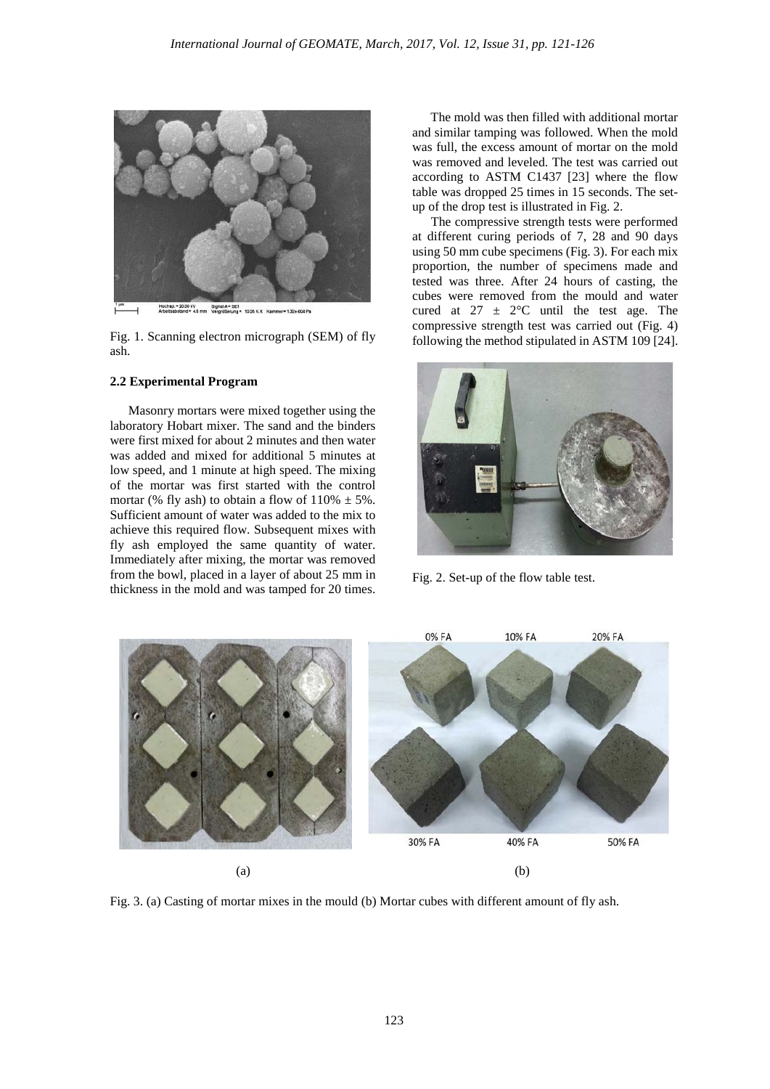

Fig. 1. Scanning electron micrograph (SEM) of fly ash.

## **2.2 Experimental Program**

Masonry mortars were mixed together using the laboratory Hobart mixer. The sand and the binders were first mixed for about 2 minutes and then water was added and mixed for additional 5 minutes at low speed, and 1 minute at high speed. The mixing of the mortar was first started with the control mortar (% fly ash) to obtain a flow of  $110\% \pm 5\%$ . Sufficient amount of water was added to the mix to achieve this required flow. Subsequent mixes with fly ash employed the same quantity of water. Immediately after mixing, the mortar was removed from the bowl, placed in a layer of about 25 mm in thickness in the mold and was tamped for 20 times.

The mold was then filled with additional mortar and similar tamping was followed. When the mold was full, the excess amount of mortar on the mold was removed and leveled. The test was carried out according to ASTM C1437 [23] where the flow table was dropped 25 times in 15 seconds. The setup of the drop test is illustrated in Fig. 2.

The compressive strength tests were performed at different curing periods of 7, 28 and 90 days using 50 mm cube specimens (Fig. 3). For each mix proportion, the number of specimens made and tested was three. After 24 hours of casting, the cubes were removed from the mould and water cured at  $27 \pm 2$ °C until the test age. The compressive strength test was carried out (Fig. 4) following the method stipulated in ASTM 109 [24].



Fig. 2. Set-up of the flow table test.



Fig. 3. (a) Casting of mortar mixes in the mould (b) Mortar cubes with different amount of fly ash.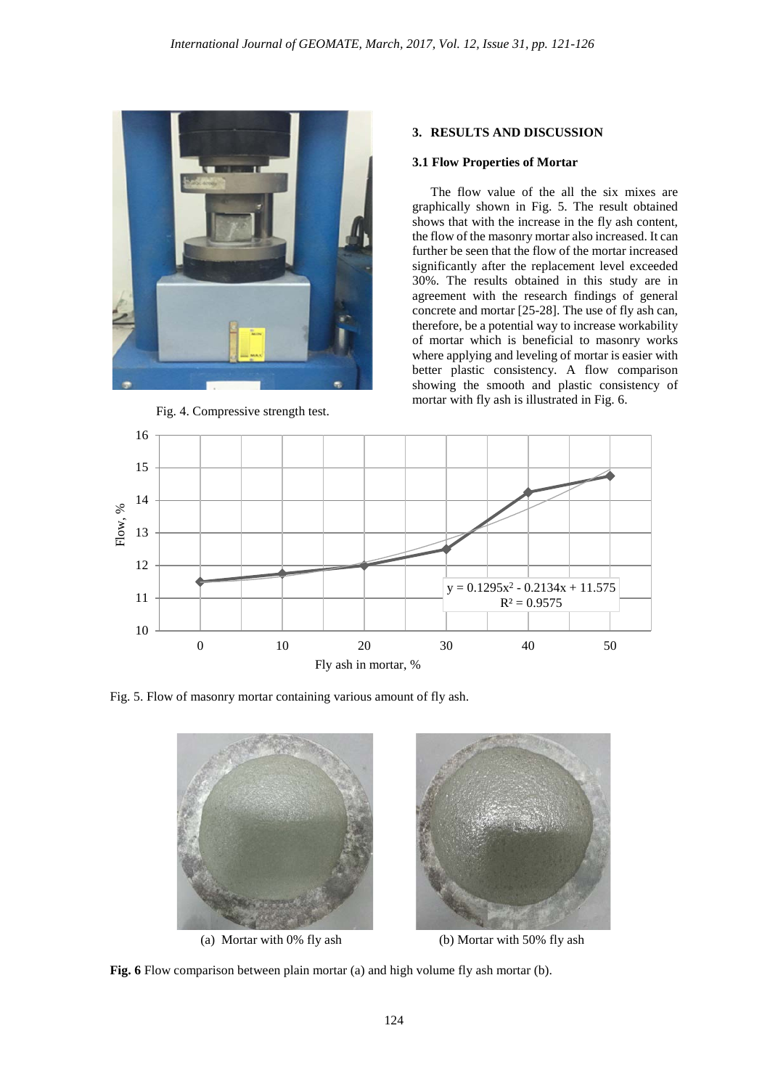

Fig. 4. Compressive strength test.

## **3. RESULTS AND DISCUSSION**

## **3.1 Flow Properties of Mortar**

The flow value of the all the six mixes are graphically shown in Fig. 5. The result obtained shows that with the increase in the fly ash content, the flow of the masonry mortar also increased. It can further be seen that the flow of the mortar increased significantly after the replacement level exceeded 30%. The results obtained in this study are in agreement with the research findings of general concrete and mortar [25-28]. The use of fly ash can, therefore, be a potential way to increase workability of mortar which is beneficial to masonry works where applying and leveling of mortar is easier with better plastic consistency. A flow comparison showing the smooth and plastic consistency of mortar with fly ash is illustrated in Fig. 6.



Fig. 5. Flow of masonry mortar containing various amount of fly ash.



**Fig. 6** Flow comparison between plain mortar (a) and high volume fly ash mortar (b).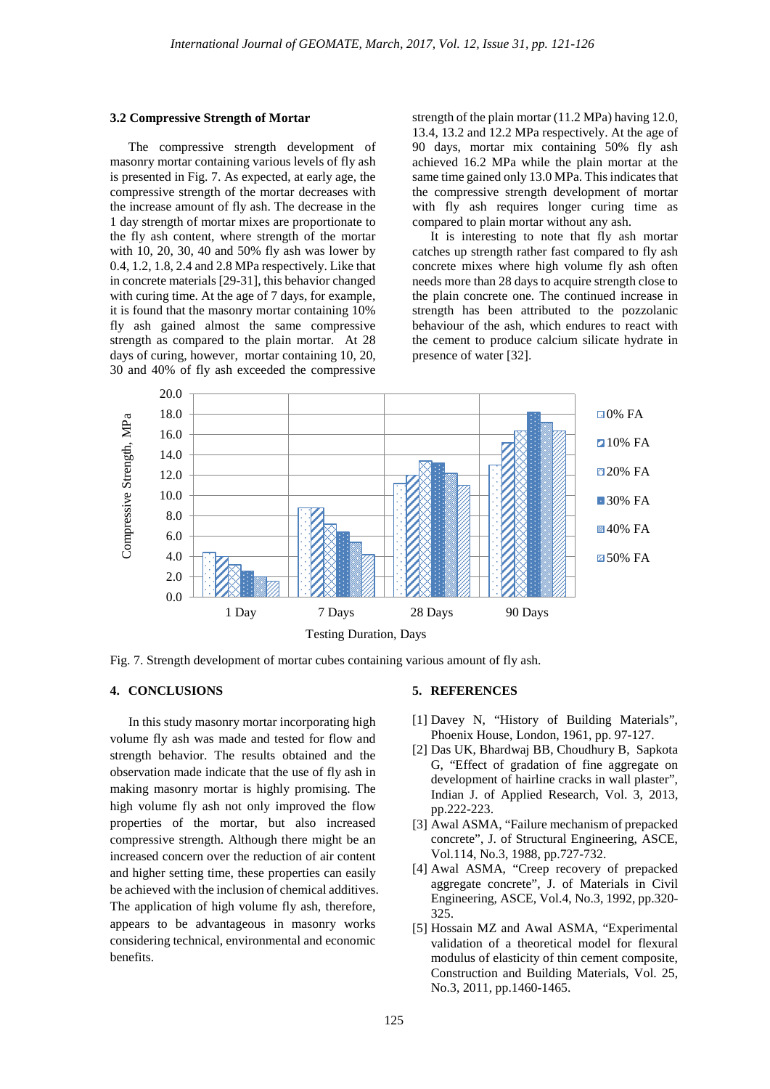#### **3.2 Compressive Strength of Mortar**

The compressive strength development of masonry mortar containing various levels of fly ash is presented in Fig. 7. As expected, at early age, the compressive strength of the mortar decreases with the increase amount of fly ash. The decrease in the 1 day strength of mortar mixes are proportionate to the fly ash content, where strength of the mortar with 10, 20, 30, 40 and 50% fly ash was lower by 0.4, 1.2, 1.8, 2.4 and 2.8 MPa respectively. Like that in concrete materials [29-31], this behavior changed with curing time. At the age of 7 days, for example, it is found that the masonry mortar containing 10% fly ash gained almost the same compressive strength as compared to the plain mortar. At 28 days of curing, however, mortar containing 10, 20, 30 and 40% of fly ash exceeded the compressive

strength of the plain mortar (11.2 MPa) having 12.0, 13.4, 13.2 and 12.2 MPa respectively. At the age of 90 days, mortar mix containing 50% fly ash achieved 16.2 MPa while the plain mortar at the same time gained only 13.0 MPa. This indicates that the compressive strength development of mortar with fly ash requires longer curing time as compared to plain mortar without any ash.

It is interesting to note that fly ash mortar catches up strength rather fast compared to fly ash concrete mixes where high volume fly ash often needs more than 28 days to acquire strength close to the plain concrete one. The continued increase in strength has been attributed to the pozzolanic behaviour of the ash, which endures to react with the cement to produce calcium silicate hydrate in presence of water [32].



Fig. 7. Strength development of mortar cubes containing various amount of fly ash.

## **4. CONCLUSIONS**

In this study masonry mortar incorporating high volume fly ash was made and tested for flow and strength behavior. The results obtained and the observation made indicate that the use of fly ash in making masonry mortar is highly promising. The high volume fly ash not only improved the flow properties of the mortar, but also increased compressive strength. Although there might be an increased concern over the reduction of air content and higher setting time, these properties can easily be achieved with the inclusion of chemical additives. The application of high volume fly ash, therefore, appears to be advantageous in masonry works considering technical, environmental and economic benefits.

### **5. REFERENCES**

- [1] Davey N, "History of Building Materials", Phoenix House, London, 1961, pp. 97-127.
- [2] Das UK, Bhardwaj BB, Choudhury B, Sapkota G, "Effect of gradation of fine aggregate on development of hairline cracks in wall plaster", Indian J. of Applied Research, Vol. 3, 2013, pp.222-223.
- [3] Awal ASMA, "Failure mechanism of prepacked concrete", J. of Structural Engineering, ASCE, Vol.114, No.3, 1988, pp.727-732.
- [4] Awal ASMA, "Creep recovery of prepacked aggregate concrete", J. of Materials in Civil Engineering, ASCE, Vol.4, No.3, 1992, pp.320- 325.
- [5] Hossain MZ and Awal ASMA, "Experimental validation of a theoretical model for flexural modulus of elasticity of thin cement composite, Construction and Building Materials, Vol. 25, No.3, 2011, pp.1460-1465.